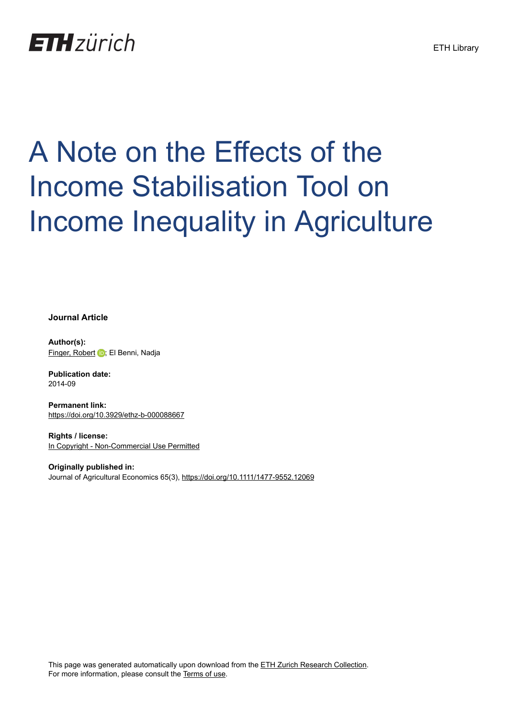## **ETH**zürich

# A Note on the Effects of the Income Stabilisation Tool on Income Inequality in Agriculture

#### **Journal Article**

**Author(s):** [Finger, Robert](https://orcid.org/0000-0002-0634-5742) **D**; El Benni, Nadja

**Publication date:** 2014-09

**Permanent link:** <https://doi.org/10.3929/ethz-b-000088667>

**Rights / license:** [In Copyright - Non-Commercial Use Permitted](http://rightsstatements.org/page/InC-NC/1.0/)

**Originally published in:** Journal of Agricultural Economics 65(3),<https://doi.org/10.1111/1477-9552.12069>

This page was generated automatically upon download from the [ETH Zurich Research Collection.](https://www.research-collection.ethz.ch) For more information, please consult the [Terms of use](https://www.research-collection.ethz.ch/terms-of-use).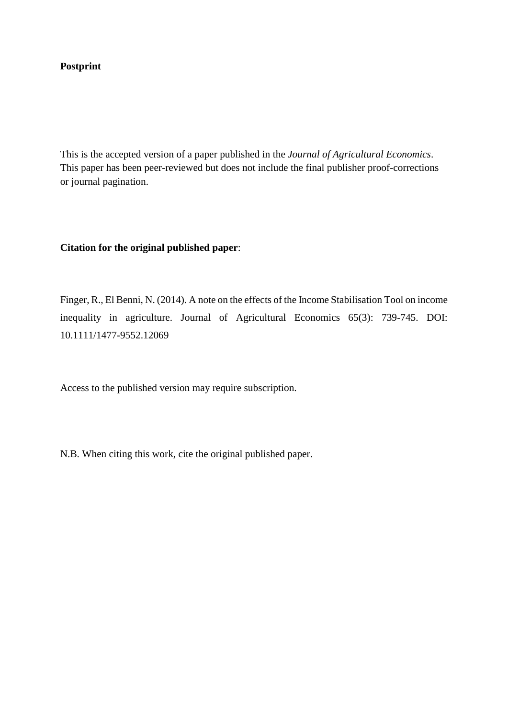#### **Postprint**

This is the accepted version of a paper published in the *Journal of Agricultural Economics*. This paper has been peer-reviewed but does not include the final publisher proof-corrections or journal pagination.

#### **Citation for the original published paper**:

Finger, R., El Benni, N. (2014). A note on the effects of the Income Stabilisation Tool on income inequality in agriculture. Journal of Agricultural Economics 65(3): 739-745. DOI: 10.1111/1477-9552.12069

Access to the published version may require subscription.

N.B. When citing this work, cite the original published paper.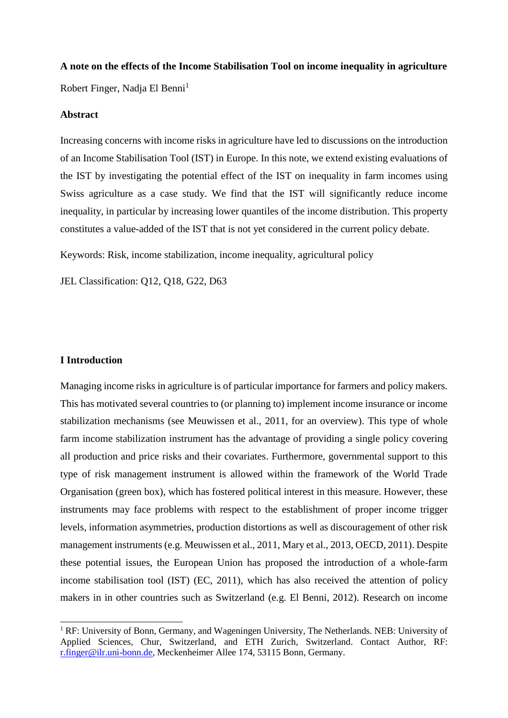### **A note on the effects of the Income Stabilisation Tool on income inequality in agriculture** Robert Finger, Nadja El Benni<sup>1</sup>

#### **Abstract**

Increasing concerns with income risks in agriculture have led to discussions on the introduction of an Income Stabilisation Tool (IST) in Europe. In this note, we extend existing evaluations of the IST by investigating the potential effect of the IST on inequality in farm incomes using Swiss agriculture as a case study. We find that the IST will significantly reduce income inequality, in particular by increasing lower quantiles of the income distribution. This property constitutes a value-added of the IST that is not yet considered in the current policy debate.

Keywords: Risk, income stabilization, income inequality, agricultural policy

JEL Classification: Q12, Q18, G22, D63

#### **I Introduction**

1

Managing income risks in agriculture is of particular importance for farmers and policy makers. This has motivated several countries to (or planning to) implement income insurance or income stabilization mechanisms (see Meuwissen et al., 2011, for an overview). This type of whole farm income stabilization instrument has the advantage of providing a single policy covering all production and price risks and their covariates. Furthermore, governmental support to this type of risk management instrument is allowed within the framework of the World Trade Organisation (green box), which has fostered political interest in this measure. However, these instruments may face problems with respect to the establishment of proper income trigger levels, information asymmetries, production distortions as well as discouragement of other risk management instruments (e.g. Meuwissen et al., 2011, Mary et al., 2013, OECD, 2011). Despite these potential issues, the European Union has proposed the introduction of a whole-farm income stabilisation tool (IST) (EC, 2011), which has also received the attention of policy makers in in other countries such as Switzerland (e.g. El Benni, 2012). Research on income

<sup>&</sup>lt;sup>1</sup> RF: University of Bonn, Germany, and Wageningen University, The Netherlands. NEB: University of Applied Sciences, Chur, Switzerland, and ETH Zurich, Switzerland. Contact Author, RF: [r.finger@ilr.uni-bonn.de,](mailto:r.finger@ilr.uni-bonn.de) Meckenheimer Allee 174, 53115 Bonn, Germany.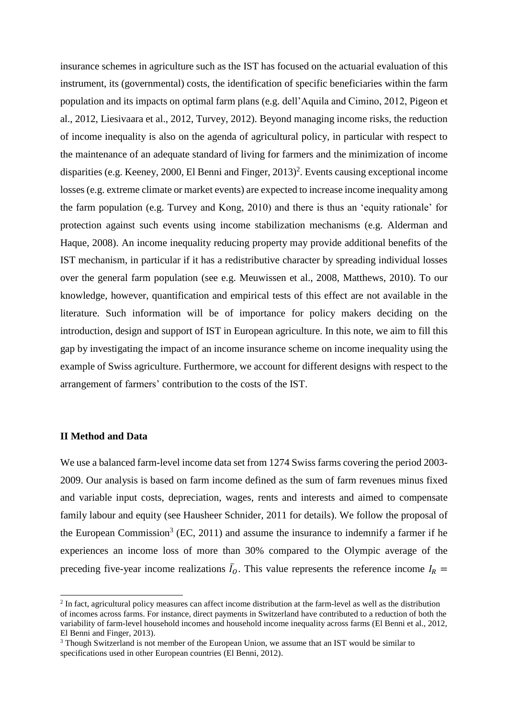insurance schemes in agriculture such as the IST has focused on the actuarial evaluation of this instrument, its (governmental) costs, the identification of specific beneficiaries within the farm population and its impacts on optimal farm plans (e.g. dell'Aquila and Cimino, 2012, Pigeon et al., 2012, Liesivaara et al., 2012, Turvey, 2012). Beyond managing income risks, the reduction of income inequality is also on the agenda of agricultural policy, in particular with respect to the maintenance of an adequate standard of living for farmers and the minimization of income disparities (e.g. Keeney, 2000, El Benni and Finger, 2013) 2 . Events causing exceptional income losses (e.g. extreme climate or market events) are expected to increase income inequality among the farm population (e.g. Turvey and Kong, 2010) and there is thus an 'equity rationale' for protection against such events using income stabilization mechanisms (e.g. Alderman and Haque, 2008). An income inequality reducing property may provide additional benefits of the IST mechanism, in particular if it has a redistributive character by spreading individual losses over the general farm population (see e.g. Meuwissen et al., 2008, Matthews, 2010). To our knowledge, however, quantification and empirical tests of this effect are not available in the literature. Such information will be of importance for policy makers deciding on the introduction, design and support of IST in European agriculture. In this note, we aim to fill this gap by investigating the impact of an income insurance scheme on income inequality using the example of Swiss agriculture. Furthermore, we account for different designs with respect to the arrangement of farmers' contribution to the costs of the IST.

#### **II Method and Data**

1

We use a balanced farm-level income data set from 1274 Swiss farms covering the period 2003- 2009. Our analysis is based on farm income defined as the sum of farm revenues minus fixed and variable input costs, depreciation, wages, rents and interests and aimed to compensate family labour and equity (see Hausheer Schnider, 2011 for details). We follow the proposal of the European Commission<sup>3</sup> (EC, 2011) and assume the insurance to indemnify a farmer if he experiences an income loss of more than 30% compared to the Olympic average of the preceding five-year income realizations  $\bar{I}_0$ . This value represents the reference income  $I_R$  =

 $2$  In fact, agricultural policy measures can affect income distribution at the farm-level as well as the distribution of incomes across farms. For instance, direct payments in Switzerland have contributed to a reduction of both the variability of farm-level household incomes and household income inequality across farms (El Benni et al., 2012, El Benni and Finger, 2013).

<sup>&</sup>lt;sup>3</sup> Though Switzerland is not member of the European Union, we assume that an IST would be similar to specifications used in other European countries (El Benni, 2012).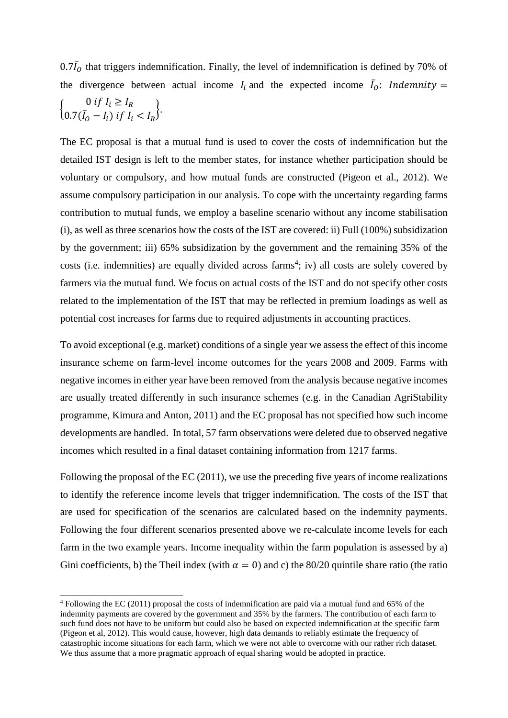$0.7\bar{I}_0$  that triggers indemnification. Finally, the level of indemnification is defined by 70% of the divergence between actual income  $I_i$  and the expected income  $\bar{I}_0$ : Indemnity  $\begin{cases}\n0 & \text{if } I_i \geq I_R \\
0 & \text{if } I_i \geq I_R\n\end{cases}$  $0.7(\bar{I}_0 - I_i)$  if  $I_i < I_R$ .

The EC proposal is that a mutual fund is used to cover the costs of indemnification but the detailed IST design is left to the member states, for instance whether participation should be voluntary or compulsory, and how mutual funds are constructed (Pigeon et al., 2012). We assume compulsory participation in our analysis. To cope with the uncertainty regarding farms contribution to mutual funds, we employ a baseline scenario without any income stabilisation (i), as well as three scenarios how the costs of the IST are covered: ii) Full (100%) subsidization by the government; iii) 65% subsidization by the government and the remaining 35% of the costs (i.e. indemnities) are equally divided across farms<sup>4</sup>; iv) all costs are solely covered by farmers via the mutual fund. We focus on actual costs of the IST and do not specify other costs related to the implementation of the IST that may be reflected in premium loadings as well as potential cost increases for farms due to required adjustments in accounting practices.

To avoid exceptional (e.g. market) conditions of a single year we assess the effect of this income insurance scheme on farm-level income outcomes for the years 2008 and 2009. Farms with negative incomes in either year have been removed from the analysis because negative incomes are usually treated differently in such insurance schemes (e.g. in the Canadian AgriStability programme, Kimura and Anton, 2011) and the EC proposal has not specified how such income developments are handled. In total, 57 farm observations were deleted due to observed negative incomes which resulted in a final dataset containing information from 1217 farms.

Following the proposal of the EC (2011), we use the preceding five years of income realizations to identify the reference income levels that trigger indemnification. The costs of the IST that are used for specification of the scenarios are calculated based on the indemnity payments. Following the four different scenarios presented above we re-calculate income levels for each farm in the two example years. Income inequality within the farm population is assessed by a) Gini coefficients, b) the Theil index (with  $\alpha = 0$ ) and c) the 80/20 quintile share ratio (the ratio

1

<sup>4</sup> Following the EC (2011) proposal the costs of indemnification are paid via a mutual fund and 65% of the indemnity payments are covered by the government and 35% by the farmers. The contribution of each farm to such fund does not have to be uniform but could also be based on expected indemnification at the specific farm (Pigeon et al, 2012). This would cause, however, high data demands to reliably estimate the frequency of catastrophic income situations for each farm, which we were not able to overcome with our rather rich dataset. We thus assume that a more pragmatic approach of equal sharing would be adopted in practice.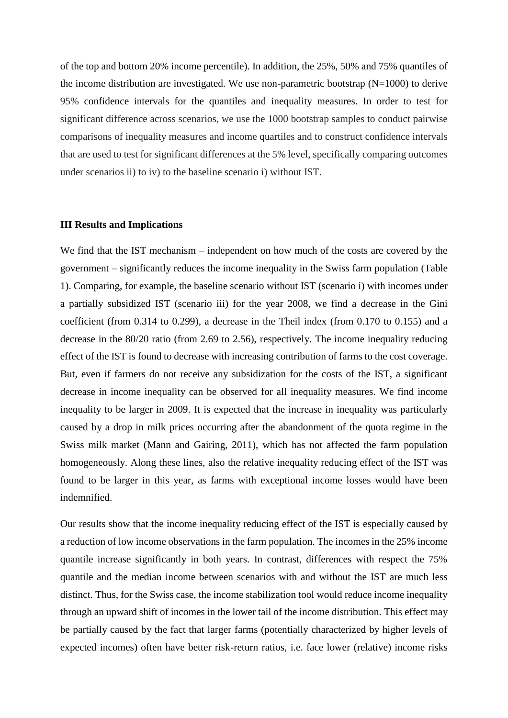of the top and bottom 20% income percentile). In addition, the 25%, 50% and 75% quantiles of the income distribution are investigated. We use non-parametric bootstrap  $(N=1000)$  to derive 95% confidence intervals for the quantiles and inequality measures. In order to test for significant difference across scenarios, we use the 1000 bootstrap samples to conduct pairwise comparisons of inequality measures and income quartiles and to construct confidence intervals that are used to test for significant differences at the 5% level, specifically comparing outcomes under scenarios ii) to iv) to the baseline scenario i) without IST.

#### **III Results and Implications**

We find that the IST mechanism – independent on how much of the costs are covered by the government – significantly reduces the income inequality in the Swiss farm population (Table 1). Comparing, for example, the baseline scenario without IST (scenario i) with incomes under a partially subsidized IST (scenario iii) for the year 2008, we find a decrease in the Gini coefficient (from 0.314 to 0.299), a decrease in the Theil index (from 0.170 to 0.155) and a decrease in the 80/20 ratio (from 2.69 to 2.56), respectively. The income inequality reducing effect of the IST is found to decrease with increasing contribution of farms to the cost coverage. But, even if farmers do not receive any subsidization for the costs of the IST, a significant decrease in income inequality can be observed for all inequality measures. We find income inequality to be larger in 2009. It is expected that the increase in inequality was particularly caused by a drop in milk prices occurring after the abandonment of the quota regime in the Swiss milk market (Mann and Gairing, 2011), which has not affected the farm population homogeneously. Along these lines, also the relative inequality reducing effect of the IST was found to be larger in this year, as farms with exceptional income losses would have been indemnified.

Our results show that the income inequality reducing effect of the IST is especially caused by a reduction of low income observations in the farm population. The incomes in the 25% income quantile increase significantly in both years. In contrast, differences with respect the 75% quantile and the median income between scenarios with and without the IST are much less distinct. Thus, for the Swiss case, the income stabilization tool would reduce income inequality through an upward shift of incomes in the lower tail of the income distribution. This effect may be partially caused by the fact that larger farms (potentially characterized by higher levels of expected incomes) often have better risk-return ratios, i.e. face lower (relative) income risks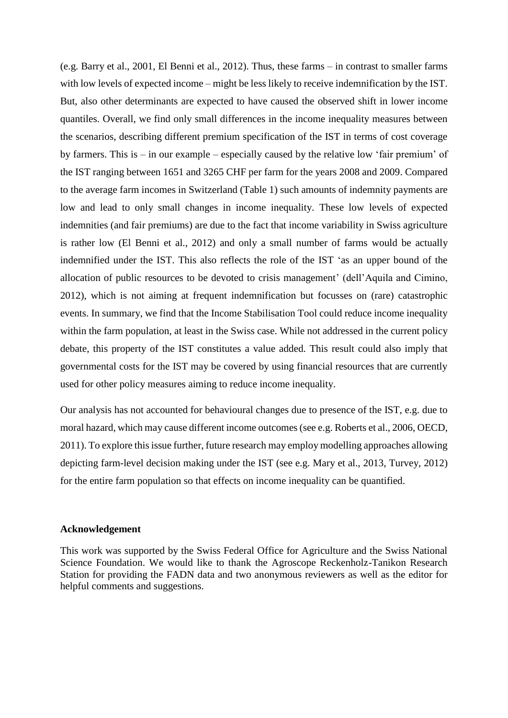(e.g. Barry et al., 2001, El Benni et al., 2012). Thus, these farms – in contrast to smaller farms with low levels of expected income – might be less likely to receive indemnification by the IST. But, also other determinants are expected to have caused the observed shift in lower income quantiles. Overall, we find only small differences in the income inequality measures between the scenarios, describing different premium specification of the IST in terms of cost coverage by farmers. This is – in our example – especially caused by the relative low 'fair premium' of the IST ranging between 1651 and 3265 CHF per farm for the years 2008 and 2009. Compared to the average farm incomes in Switzerland (Table 1) such amounts of indemnity payments are low and lead to only small changes in income inequality. These low levels of expected indemnities (and fair premiums) are due to the fact that income variability in Swiss agriculture is rather low (El Benni et al., 2012) and only a small number of farms would be actually indemnified under the IST. This also reflects the role of the IST 'as an upper bound of the allocation of public resources to be devoted to crisis management' (dell'Aquila and Cimino, 2012), which is not aiming at frequent indemnification but focusses on (rare) catastrophic events. In summary, we find that the Income Stabilisation Tool could reduce income inequality within the farm population, at least in the Swiss case. While not addressed in the current policy debate, this property of the IST constitutes a value added. This result could also imply that governmental costs for the IST may be covered by using financial resources that are currently used for other policy measures aiming to reduce income inequality.

Our analysis has not accounted for behavioural changes due to presence of the IST, e.g. due to moral hazard, which may cause different income outcomes(see e.g. Roberts et al., 2006, OECD, 2011). To explore this issue further, future research may employ modelling approaches allowing depicting farm-level decision making under the IST (see e.g. Mary et al., 2013, Turvey, 2012) for the entire farm population so that effects on income inequality can be quantified.

#### **Acknowledgement**

This work was supported by the Swiss Federal Office for Agriculture and the Swiss National Science Foundation. We would like to thank the Agroscope Reckenholz-Tanikon Research Station for providing the FADN data and two anonymous reviewers as well as the editor for helpful comments and suggestions.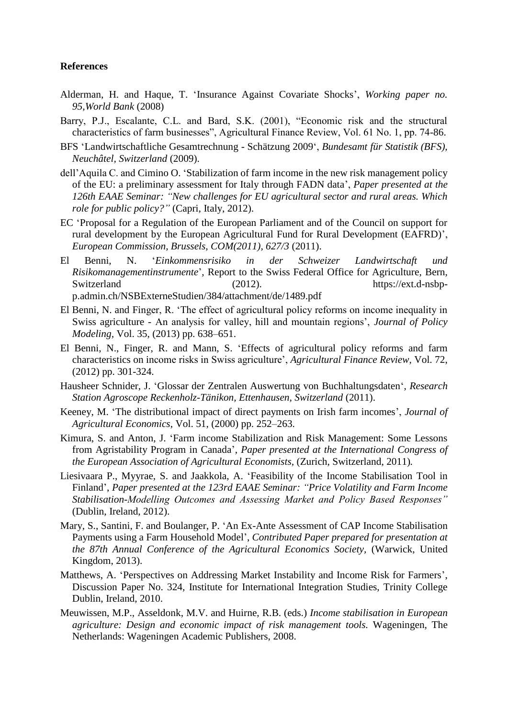#### **References**

- Alderman, H. and Haque, T. 'Insurance Against Covariate Shocks', *Working paper no. 95,World Bank* (2008)
- Barry, P.J., Escalante, C.L. and Bard, S.K. (2001), "Economic risk and the structural characteristics of farm businesses", Agricultural Finance Review, Vol. 61 No. 1, pp. 74-86.
- BFS 'Landwirtschaftliche Gesamtrechnung Schätzung 2009', *Bundesamt für Statistik (BFS), Neuchâtel, Switzerland* (2009).
- dell'Aquila C. and Cimino O. 'Stabilization of farm income in the new risk management policy of the EU: a preliminary assessment for Italy through FADN data', *Paper presented at the 126th EAAE Seminar: "New challenges for EU agricultural sector and rural areas. Which role for public policy?"* (Capri, Italy, 2012).
- EC 'Proposal for a Regulation of the European Parliament and of the Council on support for rural development by the European Agricultural Fund for Rural Development (EAFRD)', *European Commission, Brussels, COM(2011), 627/3* (2011).
- El Benni, N. '*Einkommensrisiko in der Schweizer Landwirtschaft und Risikomanagementinstrumente*', Report to the Swiss Federal Office for Agriculture, Bern, Switzerland (2012). https://ext.d-nsbpp.admin.ch/NSBExterneStudien/384/attachment/de/1489.pdf
- El Benni, N. and Finger, R. 'The effect of agricultural policy reforms on income inequality in Swiss agriculture - An analysis for valley, hill and mountain regions', *Journal of Policy Modeling,* Vol. 35, (2013) pp. 638–651.
- El Benni, N., Finger, R. and Mann, S. 'Effects of agricultural policy reforms and farm characteristics on income risks in Swiss agriculture', *Agricultural Finance Review*, Vol. 72, (2012) pp. 301-324.
- Hausheer Schnider, J. 'Glossar der Zentralen Auswertung von Buchhaltungsdaten', *Research Station Agroscope Reckenholz-Tänikon, Ettenhausen, Switzerland* (2011).
- Keeney, M. 'The distributional impact of direct payments on Irish farm incomes', *Journal of Agricultural Economics*, Vol. 51, (2000) pp. 252–263.
- Kimura, S. and Anton, J. 'Farm income Stabilization and Risk Management: Some Lessons from Agristability Program in Canada', *Paper presented at the International Congress of the European Association of Agricultural Economists,* (Zurich, Switzerland, 2011)*.*
- Liesivaara P., Myyrae, S. and Jaakkola, A. 'Feasibility of the Income Stabilisation Tool in Finland', *Paper presented at the 123rd EAAE Seminar: "Price Volatility and Farm Income Stabilisation-Modelling Outcomes and Assessing Market and Policy Based Responses"* (Dublin, Ireland, 2012).
- Mary, S., Santini, F. and Boulanger, P. 'An Ex-Ante Assessment of CAP Income Stabilisation Payments using a Farm Household Model', *Contributed Paper prepared for presentation at the 87th Annual Conference of the Agricultural Economics Society,* (Warwick, United Kingdom, 2013).
- Matthews, A. 'Perspectives on Addressing Market Instability and Income Risk for Farmers', Discussion Paper No. 324, Institute for International Integration Studies, Trinity College Dublin, Ireland, 2010.
- Meuwissen, M.P., Asseldonk, M.V. and Huirne, R.B. (eds.) *Income stabilisation in European agriculture: Design and economic impact of risk management tools.* Wageningen, The Netherlands: Wageningen Academic Publishers, 2008.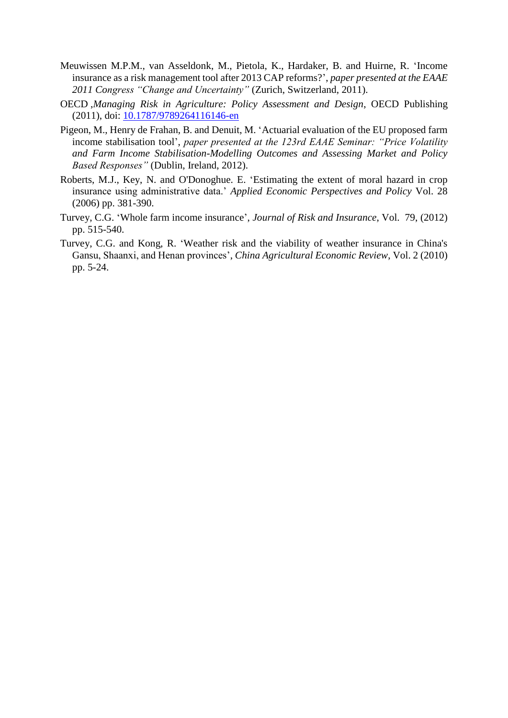- Meuwissen M.P.M., van Asseldonk, M., Pietola, K., Hardaker, B. and Huirne, R. 'Income insurance as a risk management tool after 2013 CAP reforms?', *paper presented at the EAAE 2011 Congress "Change and Uncertainty"* (Zurich, Switzerland, 2011).
- OECD ,*Managing Risk in Agriculture: Policy Assessment and Design*, OECD Publishing (2011), doi: [10.1787/9789264116146-en](http://dx.doi.org/10.1787/9789264116146-en)
- Pigeon, M., Henry de Frahan, B. and Denuit, M. 'Actuarial evaluation of the EU proposed farm income stabilisation tool', *paper presented at the 123rd EAAE Seminar: "Price Volatility and Farm Income Stabilisation-Modelling Outcomes and Assessing Market and Policy Based Responses"* (Dublin, Ireland, 2012).
- Roberts, M.J., Key, N. and O'Donoghue. E. 'Estimating the extent of moral hazard in crop insurance using administrative data.' *Applied Economic Perspectives and Policy* Vol. 28 (2006) pp. 381-390.
- Turvey, C.G. 'Whole farm income insurance', *Journal of Risk and Insurance*, Vol. 79, (2012) pp. 515-540.
- Turvey, C.G. and Kong, R. 'Weather risk and the viability of weather insurance in China's Gansu, Shaanxi, and Henan provinces', *China Agricultural Economic Review*, Vol. 2 (2010) pp. 5-24.